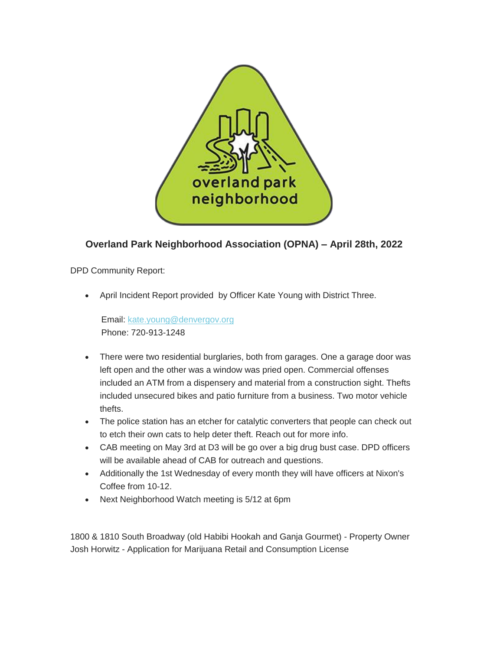

# **Overland Park Neighborhood Association (OPNA) – April 28th, 2022**

DPD Community Report:

April Incident Report provided by Officer Kate Young with District Three.

Email: [kate.young@denvergov.org](mailto:kate.young@denvergov.org) Phone: 720-913-1248

- There were two residential burglaries, both from garages. One a garage door was left open and the other was a window was pried open. Commercial offenses included an ATM from a dispensery and material from a construction sight. Thefts included unsecured bikes and patio furniture from a business. Two motor vehicle thefts.
- The police station has an etcher for catalytic converters that people can check out to etch their own cats to help deter theft. Reach out for more info.
- CAB meeting on May 3rd at D3 will be go over a big drug bust case. DPD officers will be available ahead of CAB for outreach and questions.
- Additionally the 1st Wednesday of every month they will have officers at Nixon's Coffee from 10-12.
- Next Neighborhood Watch meeting is 5/12 at 6pm

1800 & 1810 South Broadway (old Habibi Hookah and Ganja Gourmet) - Property Owner Josh Horwitz - Application for Marijuana Retail and Consumption License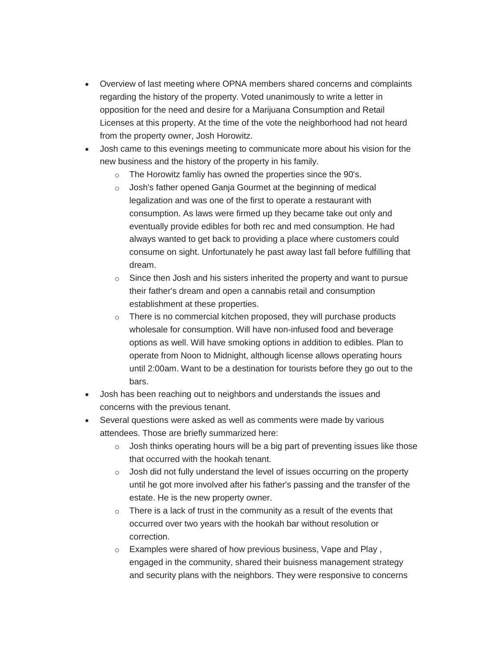- Overview of last meeting where OPNA members shared concerns and complaints regarding the history of the property. Voted unanimously to write a letter in opposition for the need and desire for a Marijuana Consumption and Retail Licenses at this property. At the time of the vote the neighborhood had not heard from the property owner, Josh Horowitz.
- Josh came to this evenings meeting to communicate more about his vision for the new business and the history of the property in his family.
	- o The Horowitz famliy has owned the properties since the 90's.
	- o Josh's father opened Ganja Gourmet at the beginning of medical legalization and was one of the first to operate a restaurant with consumption. As laws were firmed up they became take out only and eventually provide edibles for both rec and med consumption. He had always wanted to get back to providing a place where customers could consume on sight. Unfortunately he past away last fall before fulfilling that dream.
	- $\circ$  Since then Josh and his sisters inherited the property and want to pursue their father's dream and open a cannabis retail and consumption establishment at these properties.
	- o There is no commercial kitchen proposed, they will purchase products wholesale for consumption. Will have non-infused food and beverage options as well. Will have smoking options in addition to edibles. Plan to operate from Noon to Midnight, although license allows operating hours until 2:00am. Want to be a destination for tourists before they go out to the bars.
- Josh has been reaching out to neighbors and understands the issues and concerns with the previous tenant.
- Several questions were asked as well as comments were made by various attendees. Those are briefly summarized here:
	- o Josh thinks operating hours will be a big part of preventing issues like those that occurred with the hookah tenant.
	- o Josh did not fully understand the level of issues occurring on the property until he got more involved after his father's passing and the transfer of the estate. He is the new property owner.
	- $\circ$  There is a lack of trust in the community as a result of the events that occurred over two years with the hookah bar without resolution or correction.
	- o Examples were shared of how previous business, Vape and Play , engaged in the community, shared their buisness management strategy and security plans with the neighbors. They were responsive to concerns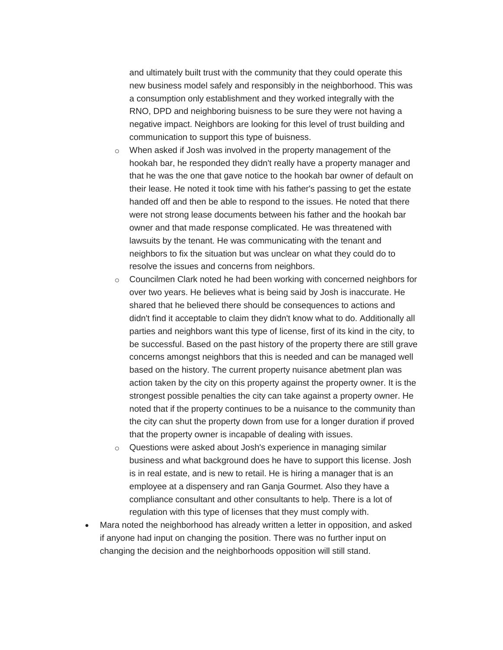and ultimately built trust with the community that they could operate this new business model safely and responsibly in the neighborhood. This was a consumption only establishment and they worked integrally with the RNO, DPD and neighboring buisness to be sure they were not having a negative impact. Neighbors are looking for this level of trust building and communication to support this type of buisness.

- o When asked if Josh was involved in the property management of the hookah bar, he responded they didn't really have a property manager and that he was the one that gave notice to the hookah bar owner of default on their lease. He noted it took time with his father's passing to get the estate handed off and then be able to respond to the issues. He noted that there were not strong lease documents between his father and the hookah bar owner and that made response complicated. He was threatened with lawsuits by the tenant. He was communicating with the tenant and neighbors to fix the situation but was unclear on what they could do to resolve the issues and concerns from neighbors.
- o Councilmen Clark noted he had been working with concerned neighbors for over two years. He believes what is being said by Josh is inaccurate. He shared that he believed there should be consequences to actions and didn't find it acceptable to claim they didn't know what to do. Additionally all parties and neighbors want this type of license, first of its kind in the city, to be successful. Based on the past history of the property there are still grave concerns amongst neighbors that this is needed and can be managed well based on the history. The current property nuisance abetment plan was action taken by the city on this property against the property owner. It is the strongest possible penalties the city can take against a property owner. He noted that if the property continues to be a nuisance to the community than the city can shut the property down from use for a longer duration if proved that the property owner is incapable of dealing with issues.
- o Questions were asked about Josh's experience in managing similar business and what background does he have to support this license. Josh is in real estate, and is new to retail. He is hiring a manager that is an employee at a dispensery and ran Ganja Gourmet. Also they have a compliance consultant and other consultants to help. There is a lot of regulation with this type of licenses that they must comply with.
- Mara noted the neighborhood has already written a letter in opposition, and asked if anyone had input on changing the position. There was no further input on changing the decision and the neighborhoods opposition will still stand.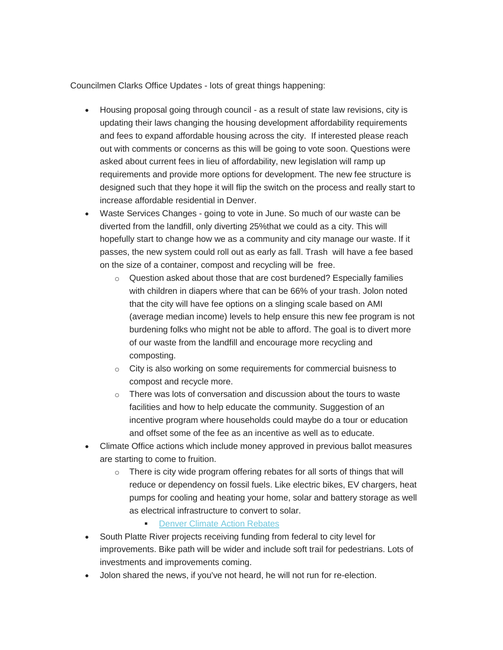Councilmen Clarks Office Updates - lots of great things happening:

- Housing proposal going through council as a result of state law revisions, city is updating their laws changing the housing development affordability requirements and fees to expand affordable housing across the city. If interested please reach out with comments or concerns as this will be going to vote soon. Questions were asked about current fees in lieu of affordability, new legislation will ramp up requirements and provide more options for development. The new fee structure is designed such that they hope it will flip the switch on the process and really start to increase affordable residential in Denver.
- Waste Services Changes going to vote in June. So much of our waste can be diverted from the landfill, only diverting 25%that we could as a city. This will hopefully start to change how we as a community and city manage our waste. If it passes, the new system could roll out as early as fall. Trash will have a fee based on the size of a container, compost and recycling will be free.
	- $\circ$  Question asked about those that are cost burdened? Especially families with children in diapers where that can be 66% of your trash. Jolon noted that the city will have fee options on a slinging scale based on AMI (average median income) levels to help ensure this new fee program is not burdening folks who might not be able to afford. The goal is to divert more of our waste from the landfill and encourage more recycling and composting.
	- $\circ$  City is also working on some requirements for commercial buisness to compost and recycle more.
	- $\circ$  There was lots of conversation and discussion about the tours to waste facilities and how to help educate the community. Suggestion of an incentive program where households could maybe do a tour or education and offset some of the fee as an incentive as well as to educate.
- Climate Office actions which include money approved in previous ballot measures are starting to come to fruition.
	- $\circ$  There is city wide program offering rebates for all sorts of things that will reduce or dependency on fossil fuels. Like electric bikes, EV chargers, heat pumps for cooling and heating your home, solar and battery storage as well as electrical infrastructure to convert to solar.
		- **[Denver Climate Action Rebates](https://www.denvergov.org/Government/Agencies-Departments-Offices/Agencies-Departments-Offices-Directory/Climate-Action-Sustainability-Resiliency/Programs-Services/Home-Energy#section-2)**
- South Platte River projects receiving funding from federal to city level for improvements. Bike path will be wider and include soft trail for pedestrians. Lots of investments and improvements coming.
- Jolon shared the news, if you've not heard, he will not run for re-election.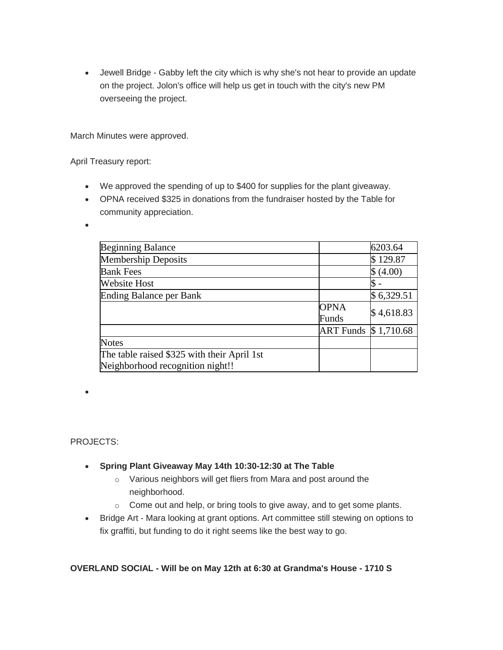Jewell Bridge - Gabby left the city which is why she's not hear to provide an update on the project. Jolon's office will help us get in touch with the city's new PM overseeing the project.

March Minutes were approved.

April Treasury report:

- We approved the spending of up to \$400 for supplies for the plant giveaway.
- OPNA received \$325 in donations from the fundraiser hosted by the Table for community appreciation.

 $\bullet$ 

| <b>Beginning Balance</b>                    |                       | 6203.64    |
|---------------------------------------------|-----------------------|------------|
| <b>Membership Deposits</b>                  |                       | \$129.87   |
| <b>Bank Fees</b>                            |                       | \$ (4.00)  |
| <b>Website Host</b>                         |                       |            |
| Ending Balance per Bank                     |                       | \$6,329.51 |
|                                             | <b>OPNA</b>           | \$4,618.83 |
|                                             | Funds                 |            |
|                                             | ART Funds \$ 1,710.68 |            |
| <b>Notes</b>                                |                       |            |
| The table raised \$325 with their April 1st |                       |            |
| Neighborhood recognition night!!            |                       |            |

PROJECTS:

 $\bullet$ 

- **Spring Plant Giveaway May 14th 10:30-12:30 at The Table**
	- o Various neighbors will get fliers from Mara and post around the neighborhood.
	- o Come out and help, or bring tools to give away, and to get some plants.
- Bridge Art Mara looking at grant options. Art committee still stewing on options to fix graffiti, but funding to do it right seems like the best way to go.

# **OVERLAND SOCIAL - Will be on May 12th at 6:30 at Grandma's House - 1710 S**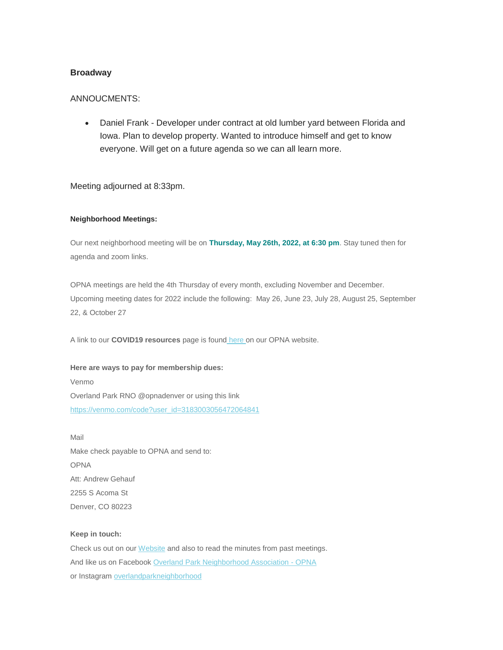## **Broadway**

### ANNOUCMENTS:

 Daniel Frank - Developer under contract at old lumber yard between Florida and Iowa. Plan to develop property. Wanted to introduce himself and get to know everyone. Will get on a future agenda so we can all learn more.

Meeting adjourned at 8:33pm.

#### **Neighborhood Meetings:**

Our next neighborhood meeting will be on **Thursday, May 26th, 2022, at 6:30 pm**. Stay tuned then for agenda and zoom links.

OPNA meetings are held the 4th Thursday of every month, excluding November and December. Upcoming meeting dates for 2022 include the following: May 26, June 23, July 28, August 25, September 22, & October 27

A link to our **COVID19 resources** page is found [here](http://www.opnadenver.org/covid-19-resources.html) on our OPNA website.

**Here are ways to pay for membership dues:** Venmo Overland Park RNO @opnadenver or using this link [https://venmo.com/code?user\\_id=3183003056472064841](https://venmo.com/code?user_id=3183003056472064841)

Mail Make check payable to OPNA and send to: OPNA Att: Andrew Gehauf 2255 S Acoma St Denver, CO 80223

#### **Keep in touch:**

Check us out on our [Website](http://www.opnadenver.org/) and also to read the minutes from past meetings. And like us on Facebook [Overland Park Neighborhood Association -](https://www.facebook.com/pages/Overland-Park-Neighborhood-Association-OPNA/152986581456985) OPNA or Instagram [overlandparkneighborhood](https://www.instagram.com/overlandparkneighborhood/)